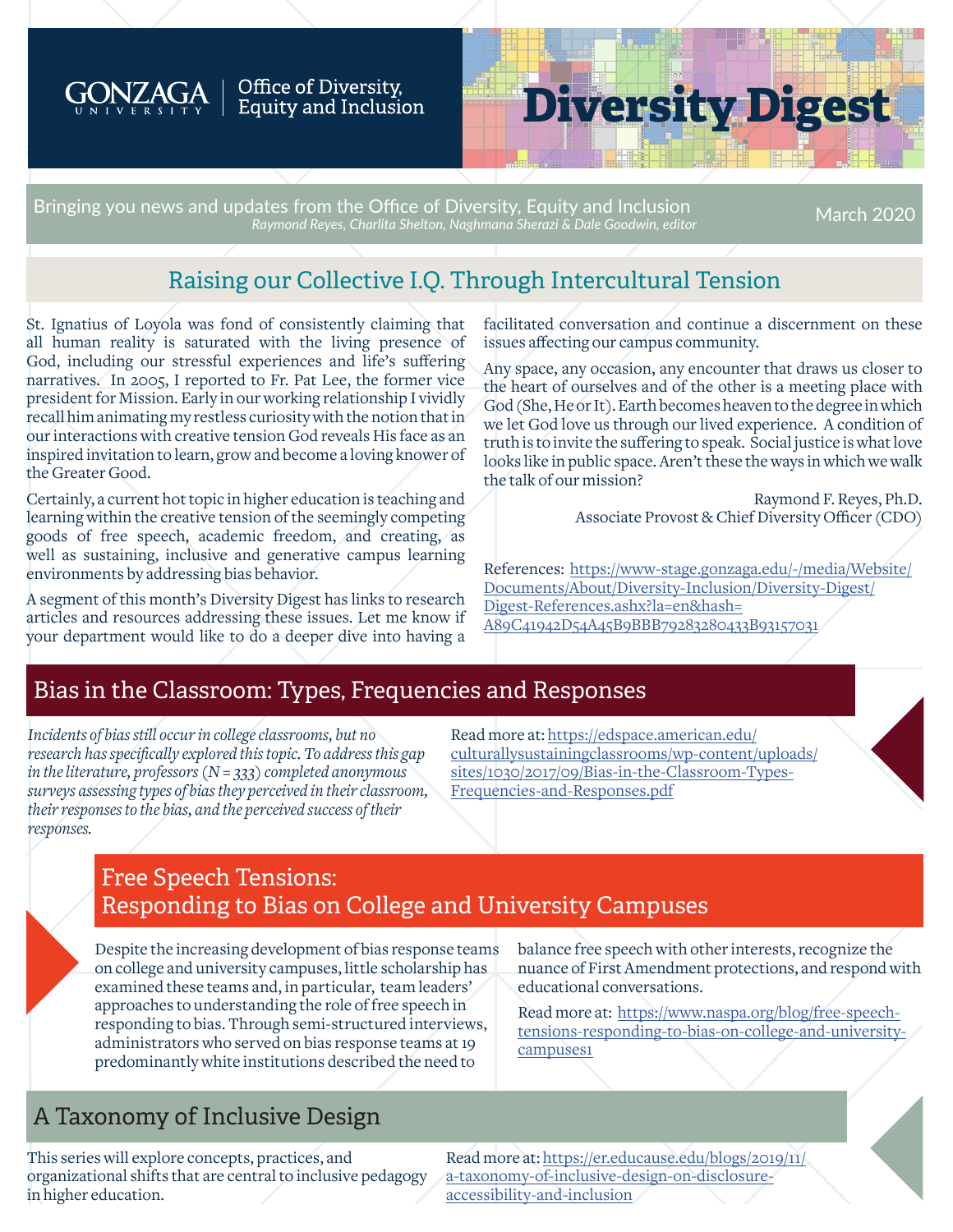

#### Office of Diversity, Equity and Inclusion

# **Diversity Digest**

Bringing you news and updates from the Office of Diversity, Equity and Inclusion *Raymond Reyes, Charlita Shelton, Naghmana Sherazi & Dale Goodwin, editor* March 2020

# Raising our Collective I.Q. Through Intercultural Tension

St. Ignatius of Loyola was fond of consistently claiming that all human reality is saturated with the living presence of God, including our stressful experiences and life's suffering narratives. In 2005, I reported to Fr. Pat Lee, the former vice president for Mission. Early in our working relationship I vividly recall him animating my restless curiosity with the notion that in our interactions with creative tension God reveals His face as an inspired invitation to learn, grow and become a loving knower of the Greater Good.

Certainly, a current hot topic in higher education is teaching and learning within the creative tension of the seemingly competing goods of free speech, academic freedom, and creating, as well as sustaining, inclusive and generative campus learning environments by addressing bias behavior.

A segment of this month's Diversity Digest has links to research articles and resources addressing these issues. Let me know if your department would like to do a deeper dive into having a

facilitated conversation and continue a discernment on these issues affecting our campus community.

Any space, any occasion, any encounter that draws us closer to the heart of ourselves and of the other is a meeting place with God (She, He or It). Earth becomes heaven to the degree in which we let God love us through our lived experience. A condition of truth is to invite the suffering to speak. Social justice is what love looks like in public space. Aren't these the ways in which we walk the talk of our mission?

> Raymond F. Reyes, Ph.D. Associate Provost & Chief Diversity Officer (CDO)

References: [https://www-stage.gonzaga.edu/-/media/Website/](https://www-stage.gonzaga.edu/-/media/Website/Documents/About/Diversity-Inclusion/Diversity-Digest/Digest-References.ashx?la=en&hash= A89C41942D54A45B9BBB79283280433B93157031) [Documents/About/Diversity-Inclusion/Diversity-Digest/](https://www-stage.gonzaga.edu/-/media/Website/Documents/About/Diversity-Inclusion/Diversity-Digest/Digest-References.ashx?la=en&hash= A89C41942D54A45B9BBB79283280433B93157031) [Digest-References.ashx?la=en&hash=](https://www-stage.gonzaga.edu/-/media/Website/Documents/About/Diversity-Inclusion/Diversity-Digest/Digest-References.ashx?la=en&hash= A89C41942D54A45B9BBB79283280433B93157031) [A89C41942D54A45B9BBB79283280433B93157031](https://www-stage.gonzaga.edu/-/media/Website/Documents/About/Diversity-Inclusion/Diversity-Digest/Digest-References.ashx?la=en&hash= A89C41942D54A45B9BBB79283280433B93157031)

### Bias in the Classroom: Types, Frequencies and Responses

*Incidents of bias still occur in college classrooms, but no research has specifically explored this topic. To address this gap in the literature, professors (N = 333) completed anonymous surveys assessing types of bias they perceived in their classroom, their responses to the bias, and the perceived success of their responses.*

Read more at: [https://edspace.american.edu/](https://edspace.american.edu/culturallysustainingclassrooms/wp-content/uploads/sites/1030/2017/09/Bias-in-the-Classroom-Types-Frequencies-and-Responses.pdf) [culturallysustainingclassrooms/wp-content/uploads/](https://edspace.american.edu/culturallysustainingclassrooms/wp-content/uploads/sites/1030/2017/09/Bias-in-the-Classroom-Types-Frequencies-and-Responses.pdf) [sites/1030/2017/09/Bias-in-the-Classroom-Types-](https://edspace.american.edu/culturallysustainingclassrooms/wp-content/uploads/sites/1030/2017/09/Bias-in-the-Classroom-Types-Frequencies-and-Responses.pdf)[Frequencies-and-Responses.pdf](https://edspace.american.edu/culturallysustainingclassrooms/wp-content/uploads/sites/1030/2017/09/Bias-in-the-Classroom-Types-Frequencies-and-Responses.pdf)

### Free Speech Tensions: Responding to Bias on College and University Campuses

Despite the increasing development of bias response teams on college and university campuses, little scholarship has examined these teams and, in particular, team leaders' approaches to understanding the role of free speech in responding to bias. Through semi-structured interviews, administrators who served on bias response teams at 19 predominantly white institutions described the need to

balance free speech with other interests, recognize the nuance of First Amendment protections, and respond with educational conversations.

Read more at: [https://www.naspa.org/blog/free-speech](https://www.naspa.org/blog/free-speech-tensions-responding-to-bias-on-college-and-university-campuses1)[tensions-responding-to-bias-on-college-and-university](https://www.naspa.org/blog/free-speech-tensions-responding-to-bias-on-college-and-university-campuses1)[campuses1](https://www.naspa.org/blog/free-speech-tensions-responding-to-bias-on-college-and-university-campuses1)

# A Taxonomy of Inclusive Design

This series will explore concepts, practices, and organizational shifts that are central to inclusive pedagogy in higher education.

Read more at: [https://er.educause.edu/blogs/2019/11/](https://er.educause.edu/blogs/2019/11/a-taxonomy-of-inclusive-design-on-disclosure-accessibility-and-inclusion) [a-taxonomy-of-inclusive-design-on-disclosure](https://er.educause.edu/blogs/2019/11/a-taxonomy-of-inclusive-design-on-disclosure-accessibility-and-inclusion)[accessibility-and-inclusion](https://er.educause.edu/blogs/2019/11/a-taxonomy-of-inclusive-design-on-disclosure-accessibility-and-inclusion)